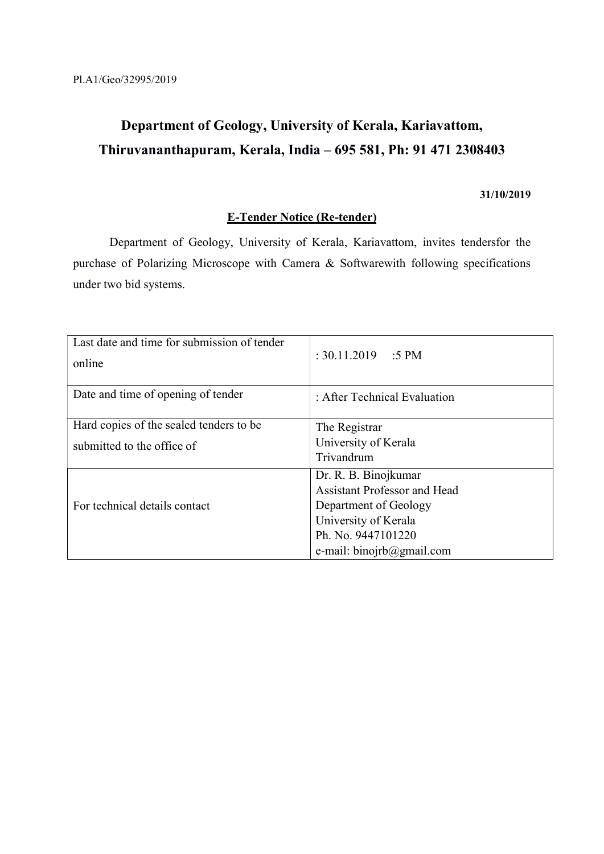# Department of Geology, University of Kerala, Kariavattom, Thiruvananthapuram, Kerala, India – 695 581, Ph: 91 471 2308403

#### 31/10/2019

### E-Tender Notice (Re-tender)

 Department of Geology, University of Kerala, Kariavattom, invites tendersfor the purchase of Polarizing Microscope with Camera & Softwarewith following specifications under two bid systems.

| Last date and time for submission of tender<br>online | : $30.11.2019$ : 5 PM               |
|-------------------------------------------------------|-------------------------------------|
| Date and time of opening of tender                    | : After Technical Evaluation        |
| Hard copies of the sealed tenders to be               | The Registrar                       |
| submitted to the office of                            | University of Kerala                |
|                                                       | Trivandrum                          |
|                                                       | Dr. R. B. Binojkumar                |
|                                                       | <b>Assistant Professor and Head</b> |
| For technical details contact                         | Department of Geology               |
|                                                       | University of Kerala                |
|                                                       | Ph. No. 9447101220                  |
|                                                       | e-mail: binojrb@gmail.com           |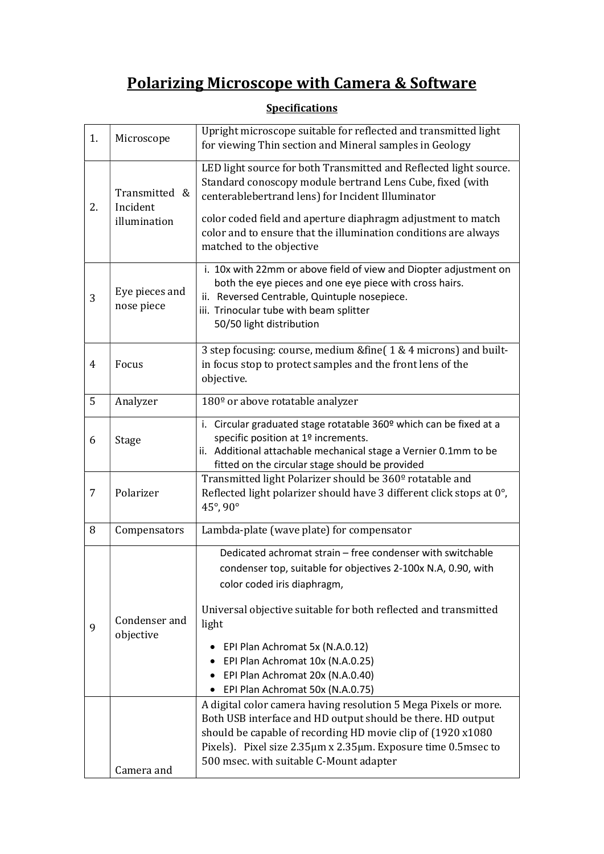# Polarizing Microscope with Camera & Software

| 1. | Microscope                                | Upright microscope suitable for reflected and transmitted light<br>for viewing Thin section and Mineral samples in Geology                                                                                                                                                                                                                                                            |
|----|-------------------------------------------|---------------------------------------------------------------------------------------------------------------------------------------------------------------------------------------------------------------------------------------------------------------------------------------------------------------------------------------------------------------------------------------|
| 2. | Transmitted &<br>Incident<br>illumination | LED light source for both Transmitted and Reflected light source.<br>Standard conoscopy module bertrand Lens Cube, fixed (with<br>centerablebertrand lens) for Incident Illuminator<br>color coded field and aperture diaphragm adjustment to match<br>color and to ensure that the illumination conditions are always<br>matched to the objective                                    |
| 3  | Eye pieces and<br>nose piece              | i. 10x with 22mm or above field of view and Diopter adjustment on<br>both the eye pieces and one eye piece with cross hairs.<br>ii. Reversed Centrable, Quintuple nosepiece.<br>iii. Trinocular tube with beam splitter<br>50/50 light distribution                                                                                                                                   |
| 4  | Focus                                     | 3 step focusing: course, medium &fine(1 & 4 microns) and built-<br>in focus stop to protect samples and the front lens of the<br>objective.                                                                                                                                                                                                                                           |
| 5  | Analyzer                                  | 180 <sup>°</sup> or above rotatable analyzer                                                                                                                                                                                                                                                                                                                                          |
| 6  | Stage                                     | i. Circular graduated stage rotatable 360º which can be fixed at a<br>specific position at 1º increments.<br>ii. Additional attachable mechanical stage a Vernier 0.1mm to be<br>fitted on the circular stage should be provided                                                                                                                                                      |
| 7  | Polarizer                                 | Transmitted light Polarizer should be 360 <sup>°</sup> rotatable and<br>Reflected light polarizer should have 3 different click stops at 0°,<br>45°, 90°                                                                                                                                                                                                                              |
| 8  | Compensators                              | Lambda-plate (wave plate) for compensator                                                                                                                                                                                                                                                                                                                                             |
| 9  | Condenser and<br>objective                | Dedicated achromat strain - free condenser with switchable<br>condenser top, suitable for objectives 2-100x N.A, 0.90, with<br>color coded iris diaphragm,<br>Universal objective suitable for both reflected and transmitted<br>light<br>EPI Plan Achromat 5x (N.A.0.12)<br>EPI Plan Achromat 10x (N.A.0.25)<br>EPI Plan Achromat 20x (N.A.0.40)<br>EPI Plan Achromat 50x (N.A.0.75) |
|    | Camera and                                | A digital color camera having resolution 5 Mega Pixels or more.<br>Both USB interface and HD output should be there. HD output<br>should be capable of recording HD movie clip of (1920 x1080)<br>Pixels). Pixel size 2.35µm x 2.35µm. Exposure time 0.5msec to<br>500 msec. with suitable C-Mount adapter                                                                            |

## **Specifications**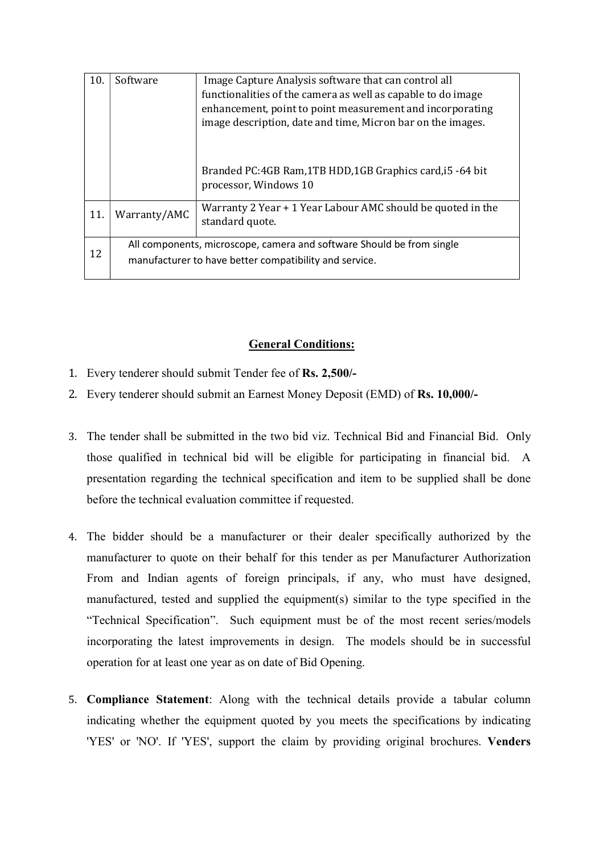|                                                                                                                                 | functionalities of the camera as well as capable to do image<br>enhancement, point to point measurement and incorporating<br>image description, date and time, Micron bar on the images. |
|---------------------------------------------------------------------------------------------------------------------------------|------------------------------------------------------------------------------------------------------------------------------------------------------------------------------------------|
|                                                                                                                                 | Branded PC:4GB Ram, 1TB HDD, 1GB Graphics card, i5 -64 bit<br>processor, Windows 10                                                                                                      |
| Warranty/AMC                                                                                                                    | Warranty 2 Year + 1 Year Labour AMC should be quoted in the<br>standard quote.                                                                                                           |
| All components, microscope, camera and software Should be from single<br>manufacturer to have better compatibility and service. |                                                                                                                                                                                          |
|                                                                                                                                 |                                                                                                                                                                                          |

### General Conditions:

- 1. Every tenderer should submit Tender fee of Rs. 2,500/-
- 2. Every tenderer should submit an Earnest Money Deposit (EMD) of Rs. 10,000/-
- 3. The tender shall be submitted in the two bid viz. Technical Bid and Financial Bid. Only those qualified in technical bid will be eligible for participating in financial bid. A presentation regarding the technical specification and item to be supplied shall be done before the technical evaluation committee if requested.
- 4. The bidder should be a manufacturer or their dealer specifically authorized by the manufacturer to quote on their behalf for this tender as per Manufacturer Authorization From and Indian agents of foreign principals, if any, who must have designed, manufactured, tested and supplied the equipment(s) similar to the type specified in the "Technical Specification". Such equipment must be of the most recent series/models incorporating the latest improvements in design. The models should be in successful operation for at least one year as on date of Bid Opening.
- 5. Compliance Statement: Along with the technical details provide a tabular column indicating whether the equipment quoted by you meets the specifications by indicating 'YES' or 'NO'. If 'YES', support the claim by providing original brochures. Venders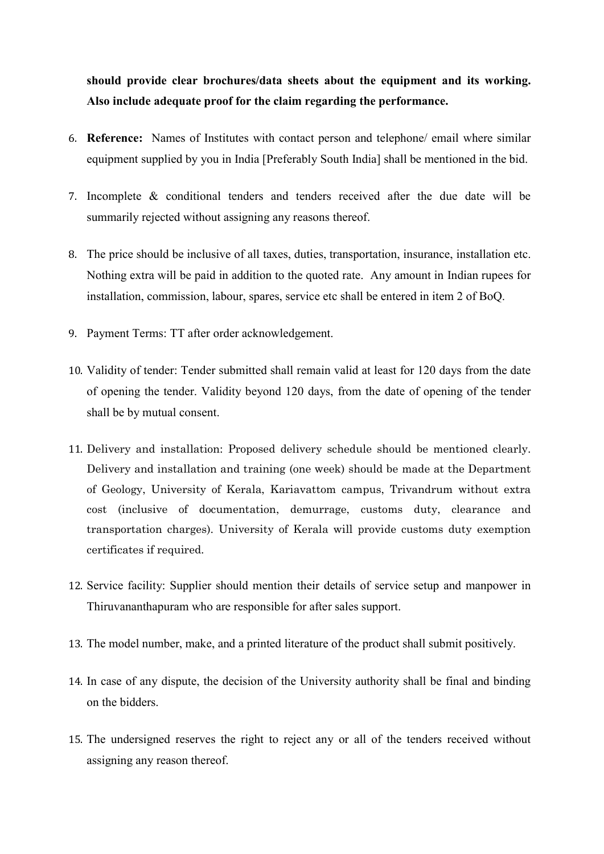should provide clear brochures/data sheets about the equipment and its working. Also include adequate proof for the claim regarding the performance.

- 6. Reference: Names of Institutes with contact person and telephone/ email where similar equipment supplied by you in India [Preferably South India] shall be mentioned in the bid.
- 7. Incomplete & conditional tenders and tenders received after the due date will be summarily rejected without assigning any reasons thereof.
- 8. The price should be inclusive of all taxes, duties, transportation, insurance, installation etc. Nothing extra will be paid in addition to the quoted rate. Any amount in Indian rupees for installation, commission, labour, spares, service etc shall be entered in item 2 of BoQ.
- 9. Payment Terms: TT after order acknowledgement.
- 10. Validity of tender: Tender submitted shall remain valid at least for 120 days from the date of opening the tender. Validity beyond 120 days, from the date of opening of the tender shall be by mutual consent.
- 11. Delivery and installation: Proposed delivery schedule should be mentioned clearly. Delivery and installation and training (one week) should be made at the Department of Geology, University of Kerala, Kariavattom campus, Trivandrum without extra cost (inclusive of documentation, demurrage, customs duty, clearance and transportation charges). University of Kerala will provide customs duty exemption certificates if required.
- 12. Service facility: Supplier should mention their details of service setup and manpower in Thiruvananthapuram who are responsible for after sales support.
- 13. The model number, make, and a printed literature of the product shall submit positively.
- 14. In case of any dispute, the decision of the University authority shall be final and binding on the bidders.
- 15. The undersigned reserves the right to reject any or all of the tenders received without assigning any reason thereof.